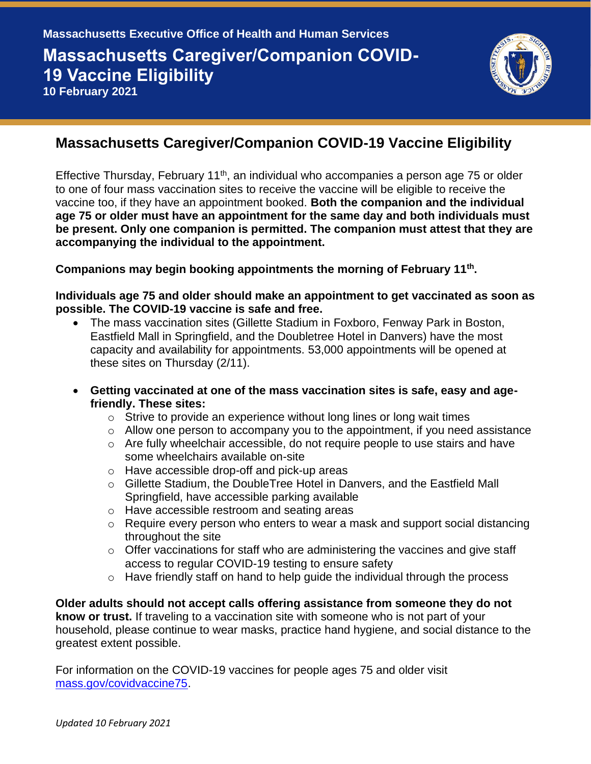

## **Massachusetts Caregiver/Companion COVID-19 Vaccine Eligibility**

Effective Thursday, February 11<sup>th</sup>, an individual who accompanies a person age 75 or older to one of four mass vaccination sites to receive the vaccine will be eligible to receive the vaccine too, if they have an appointment booked. **Both the companion and the individual age 75 or older must have an appointment for the same day and both individuals must be present. Only one companion is permitted. The companion must attest that they are accompanying the individual to the appointment.** 

**Companions may begin booking appointments the morning of February 11th .** 

## **Individuals age 75 and older should make an appointment to get vaccinated as soon as possible. The COVID-19 vaccine is safe and free.**

- The mass vaccination sites (Gillette Stadium in Foxboro, Fenway Park in Boston, Eastfield Mall in Springfield, and the Doubletree Hotel in Danvers) have the most capacity and availability for appointments. 53,000 appointments will be opened at these sites on Thursday (2/11).
- **Getting vaccinated at one of the mass vaccination sites is safe, easy and agefriendly. These sites:** 
	- $\circ$  Strive to provide an experience without long lines or long wait times
	- $\circ$  Allow one person to accompany you to the appointment, if you need assistance
	- $\circ$  Are fully wheelchair accessible, do not require people to use stairs and have some wheelchairs available on-site
	- o Have accessible drop-off and pick-up areas
	- o Gillette Stadium, the DoubleTree Hotel in Danvers, and the Eastfield Mall Springfield, have accessible parking available
	- o Have accessible restroom and seating areas
	- $\circ$  Require every person who enters to wear a mask and support social distancing throughout the site
	- $\circ$  Offer vaccinations for staff who are administering the vaccines and give staff access to regular COVID-19 testing to ensure safety
	- $\circ$  Have friendly staff on hand to help guide the individual through the process

**Older adults should not accept calls offering assistance from someone they do not know or trust.** If traveling to a vaccination site with someone who is not part of your household, please continue to wear masks, practice hand hygiene, and social distance to the greatest extent possible.

For information on the COVID-19 vaccines for people ages 75 and older visit [mass.gov/covidvaccine75.](https://www.mass.gov/info-details/covid-19-vaccinations-for-people-ages-75-and-older)